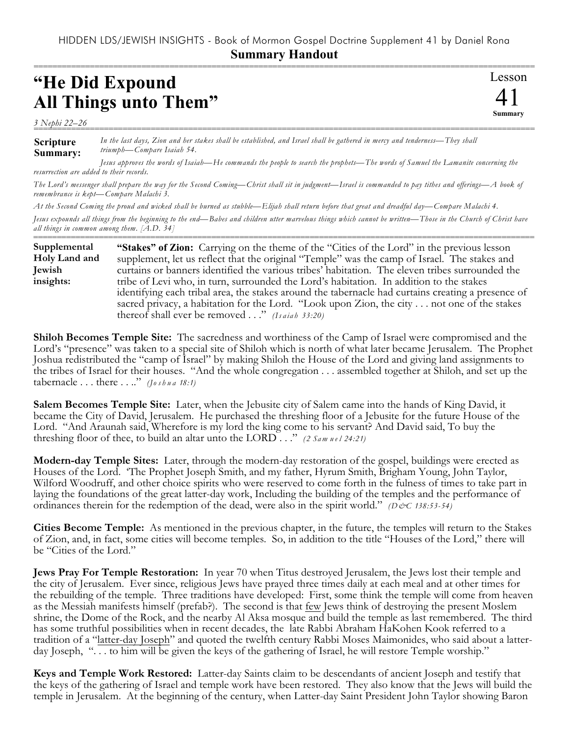## HIDDEN LDS/JEWISH INSIGHTS - Book of Mormon Gospel Doctrine Supplement 41 by Daniel Rona **Summary Handout**

===========================================================================================================

Lesson

41 **Summary**

## **"He Did Expound All Things unto Them"**

*3 Nephi 22–26* ===========================================================================================================

**Scripture Summary:** *In the last days, Zion and her stakes shall be established, and Israel shall be gathered in mercy and tenderness—They shall triumph—Compare Isaiah 54.*

*Jesus approves the words of Isaiah—He commands the people to search the prophets—The words of Samuel the Lamanite concerning the resurrection are added to their records.*

*The Lord's messenger shall prepare the way for the Second Coming—Christ shall sit in judgment—Israel is commanded to pay tithes and offerings—A book of remembrance is kept—Compare Malachi 3.* 

*At the Second Coming the proud and wicked shall be burned as stubble—Elijah shall return before that great and dreadful day—Compare Malachi 4.*

*Jesus expounds all things from the beginning to the end—Babes and children utter marvelous things which cannot be written—Those in the Church of Christ have all things in common among them. [A.D. 34]* ===========================================================================================================

**"Stakes" of Zion:** Carrying on the theme of the "Cities of the Lord" in the previous lesson supplement, let us reflect that the original "Temple" was the camp of Israel. The stakes and curtains or banners identified the various tribes' habitation. The eleven tribes surrounded the tribe of Levi who, in turn, surrounded the Lord's habitation. In addition to the stakes identifying each tribal area, the stakes around the tabernacle had curtains creating a presence of sacred privacy, a habitation for the Lord. "Look upon Zion, the city . . . not one of the stakes thereof shall ever be removed . . ." *(Is a ia h 33:20)* **Supplemental Holy Land and Jewish insights:**

**Shiloh Becomes Temple Site:** The sacredness and worthiness of the Camp of Israel were compromised and the Lord's "presence" was taken to a special site of Shiloh which is north of what later became Jerusalem. The Prophet Joshua redistributed the "camp of Israel" by making Shiloh the House of the Lord and giving land assignments to the tribes of Israel for their houses. "And the whole congregation . . . assembled together at Shiloh, and set up the tabernacle . . . there . . .." *(Jo s h u a 18:1)*

**Salem Becomes Temple Site:** Later, when the Jebusite city of Salem came into the hands of King David, it became the City of David, Jerusalem. He purchased the threshing floor of a Jebusite for the future House of the Lord. "And Araunah said, Wherefore is my lord the king come to his servant? And David said, To buy the threshing floor of thee, to build an altar unto the LORD . . ." *(2 Sam u e l 24:21)*

**Modern-day Temple Sites:** Later, through the modern-day restoration of the gospel, buildings were erected as Houses of the Lord. 'The Prophet Joseph Smith, and my father, Hyrum Smith, Brigham Young, John Taylor, Wilford Woodruff, and other choice spirits who were reserved to come forth in the fulness of times to take part in laying the foundations of the great latter-day work, Including the building of the temples and the performance of ordinances therein for the redemption of the dead, were also in the spirit world." *(D&C 138:53-54)* 

**Cities Become Temple:** As mentioned in the previous chapter, in the future, the temples will return to the Stakes of Zion, and, in fact, some cities will become temples. So, in addition to the title "Houses of the Lord," there will be "Cities of the Lord."

**Jews Pray For Temple Restoration:** In year 70 when Titus destroyed Jerusalem, the Jews lost their temple and the city of Jerusalem. Ever since, religious Jews have prayed three times daily at each meal and at other times for the rebuilding of the temple. Three traditions have developed: First, some think the temple will come from heaven as the Messiah manifests himself (prefab?). The second is that few Jews think of destroying the present Moslem shrine, the Dome of the Rock, and the nearby Al Aksa mosque and build the temple as last remembered. The third has some truthful possibilities when in recent decades, the late Rabbi Abraham HaKohen Kook referred to a tradition of a "latter-day Joseph" and quoted the twelfth century Rabbi Moses Maimonides, who said about a latterday Joseph, "... to him will be given the keys of the gathering of Israel, he will restore Temple worship."

**Keys and Temple Work Restored:** Latter-day Saints claim to be descendants of ancient Joseph and testify that the keys of the gathering of Israel and temple work have been restored. They also know that the Jews will build the temple in Jerusalem. At the beginning of the century, when Latter-day Saint President John Taylor showing Baron